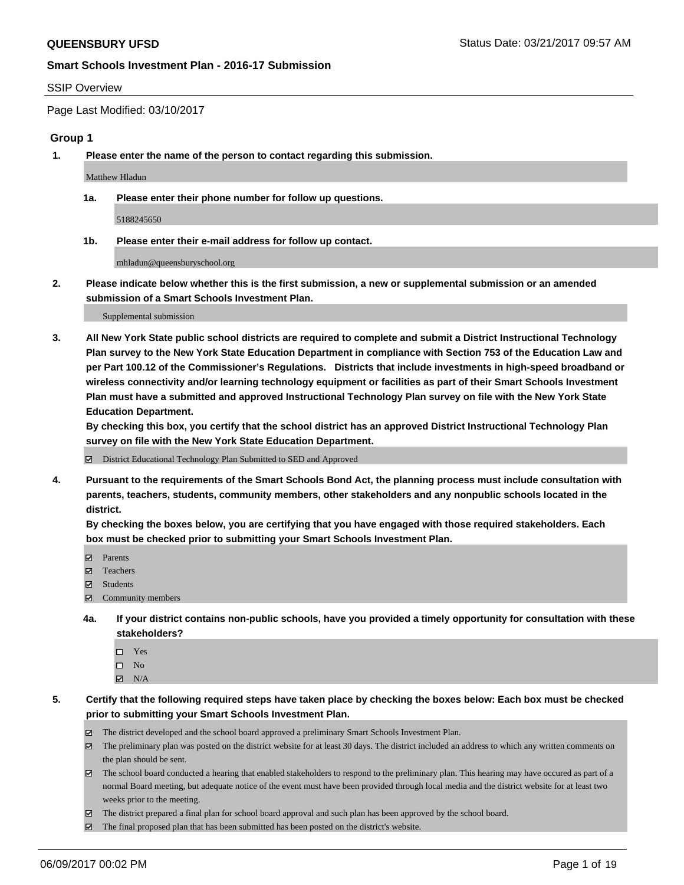#### SSIP Overview

Page Last Modified: 03/10/2017

#### **Group 1**

**1. Please enter the name of the person to contact regarding this submission.**

Matthew Hladun

**1a. Please enter their phone number for follow up questions.**

5188245650

**1b. Please enter their e-mail address for follow up contact.**

mhladun@queensburyschool.org

**2. Please indicate below whether this is the first submission, a new or supplemental submission or an amended submission of a Smart Schools Investment Plan.**

Supplemental submission

**3. All New York State public school districts are required to complete and submit a District Instructional Technology Plan survey to the New York State Education Department in compliance with Section 753 of the Education Law and per Part 100.12 of the Commissioner's Regulations. Districts that include investments in high-speed broadband or wireless connectivity and/or learning technology equipment or facilities as part of their Smart Schools Investment Plan must have a submitted and approved Instructional Technology Plan survey on file with the New York State Education Department.** 

**By checking this box, you certify that the school district has an approved District Instructional Technology Plan survey on file with the New York State Education Department.**

District Educational Technology Plan Submitted to SED and Approved

**4. Pursuant to the requirements of the Smart Schools Bond Act, the planning process must include consultation with parents, teachers, students, community members, other stakeholders and any nonpublic schools located in the district.** 

**By checking the boxes below, you are certifying that you have engaged with those required stakeholders. Each box must be checked prior to submitting your Smart Schools Investment Plan.**

- **マ** Parents
- □ Teachers
- Students
- $\Xi$  Community members
- **4a. If your district contains non-public schools, have you provided a timely opportunity for consultation with these stakeholders?**
	- Yes
	- $\hfill \square$  No
	- $\boxtimes$  N/A
- **5. Certify that the following required steps have taken place by checking the boxes below: Each box must be checked prior to submitting your Smart Schools Investment Plan.**
	- The district developed and the school board approved a preliminary Smart Schools Investment Plan.
	- $\boxtimes$  The preliminary plan was posted on the district website for at least 30 days. The district included an address to which any written comments on the plan should be sent.
	- $\boxtimes$  The school board conducted a hearing that enabled stakeholders to respond to the preliminary plan. This hearing may have occured as part of a normal Board meeting, but adequate notice of the event must have been provided through local media and the district website for at least two weeks prior to the meeting.
	- The district prepared a final plan for school board approval and such plan has been approved by the school board.
	- $\boxtimes$  The final proposed plan that has been submitted has been posted on the district's website.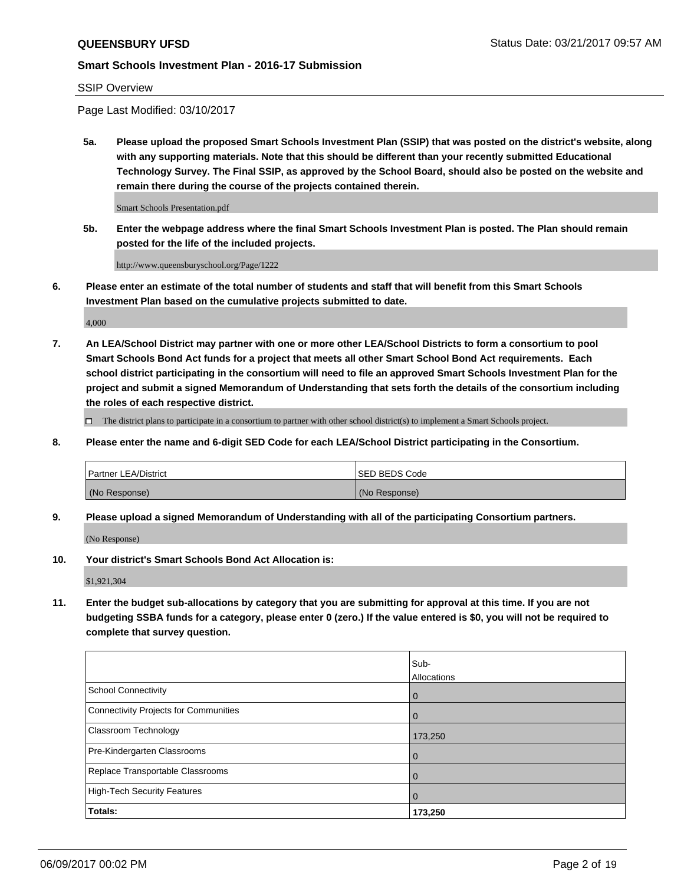#### SSIP Overview

Page Last Modified: 03/10/2017

**5a. Please upload the proposed Smart Schools Investment Plan (SSIP) that was posted on the district's website, along with any supporting materials. Note that this should be different than your recently submitted Educational Technology Survey. The Final SSIP, as approved by the School Board, should also be posted on the website and remain there during the course of the projects contained therein.**

Smart Schools Presentation.pdf

**5b. Enter the webpage address where the final Smart Schools Investment Plan is posted. The Plan should remain posted for the life of the included projects.**

http://www.queensburyschool.org/Page/1222

**6. Please enter an estimate of the total number of students and staff that will benefit from this Smart Schools Investment Plan based on the cumulative projects submitted to date.**

4,000

**7. An LEA/School District may partner with one or more other LEA/School Districts to form a consortium to pool Smart Schools Bond Act funds for a project that meets all other Smart School Bond Act requirements. Each school district participating in the consortium will need to file an approved Smart Schools Investment Plan for the project and submit a signed Memorandum of Understanding that sets forth the details of the consortium including the roles of each respective district.**

 $\Box$  The district plans to participate in a consortium to partner with other school district(s) to implement a Smart Schools project.

**8. Please enter the name and 6-digit SED Code for each LEA/School District participating in the Consortium.**

| <b>Partner LEA/District</b> | <b>ISED BEDS Code</b> |
|-----------------------------|-----------------------|
| (No Response)               | (No Response)         |

**9. Please upload a signed Memorandum of Understanding with all of the participating Consortium partners.**

(No Response)

**10. Your district's Smart Schools Bond Act Allocation is:**

\$1,921,304

**11. Enter the budget sub-allocations by category that you are submitting for approval at this time. If you are not budgeting SSBA funds for a category, please enter 0 (zero.) If the value entered is \$0, you will not be required to complete that survey question.**

|                                       | Sub-        |
|---------------------------------------|-------------|
|                                       | Allocations |
| <b>School Connectivity</b>            | 0           |
| Connectivity Projects for Communities | 0           |
| <b>Classroom Technology</b>           | 173,250     |
| Pre-Kindergarten Classrooms           | 0           |
| Replace Transportable Classrooms      | 0           |
| <b>High-Tech Security Features</b>    | 0           |
| Totals:                               | 173,250     |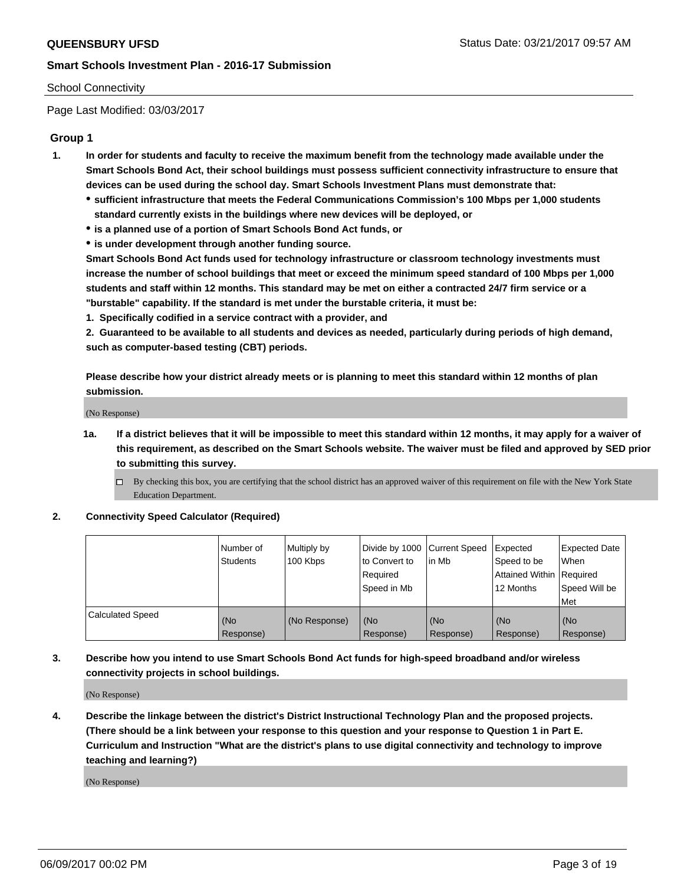#### School Connectivity

Page Last Modified: 03/03/2017

## **Group 1**

- **1. In order for students and faculty to receive the maximum benefit from the technology made available under the Smart Schools Bond Act, their school buildings must possess sufficient connectivity infrastructure to ensure that devices can be used during the school day. Smart Schools Investment Plans must demonstrate that:**
	- **sufficient infrastructure that meets the Federal Communications Commission's 100 Mbps per 1,000 students standard currently exists in the buildings where new devices will be deployed, or**
	- **is a planned use of a portion of Smart Schools Bond Act funds, or**
	- **is under development through another funding source.**

**Smart Schools Bond Act funds used for technology infrastructure or classroom technology investments must increase the number of school buildings that meet or exceed the minimum speed standard of 100 Mbps per 1,000 students and staff within 12 months. This standard may be met on either a contracted 24/7 firm service or a "burstable" capability. If the standard is met under the burstable criteria, it must be:**

**1. Specifically codified in a service contract with a provider, and**

**2. Guaranteed to be available to all students and devices as needed, particularly during periods of high demand, such as computer-based testing (CBT) periods.**

**Please describe how your district already meets or is planning to meet this standard within 12 months of plan submission.**

(No Response)

- **1a. If a district believes that it will be impossible to meet this standard within 12 months, it may apply for a waiver of this requirement, as described on the Smart Schools website. The waiver must be filed and approved by SED prior to submitting this survey.**
	- By checking this box, you are certifying that the school district has an approved waiver of this requirement on file with the New York State Education Department.

#### **2. Connectivity Speed Calculator (Required)**

|                         | l Number of<br><b>Students</b> | Multiply by<br>100 Kbps | Divide by 1000   Current Speed<br>to Convert to<br>Required<br>l Speed in Mb | in Mb            | Expected<br>Speed to be<br>Attained Within Required<br>12 Months | <b>Expected Date</b><br>When<br>Speed Will be<br><b>Met</b> |
|-------------------------|--------------------------------|-------------------------|------------------------------------------------------------------------------|------------------|------------------------------------------------------------------|-------------------------------------------------------------|
| <b>Calculated Speed</b> | (No<br>Response)               | (No Response)           | (No<br>Response)                                                             | (No<br>Response) | (No<br>Response)                                                 | l (No<br>Response)                                          |

## **3. Describe how you intend to use Smart Schools Bond Act funds for high-speed broadband and/or wireless connectivity projects in school buildings.**

(No Response)

**4. Describe the linkage between the district's District Instructional Technology Plan and the proposed projects. (There should be a link between your response to this question and your response to Question 1 in Part E. Curriculum and Instruction "What are the district's plans to use digital connectivity and technology to improve teaching and learning?)**

(No Response)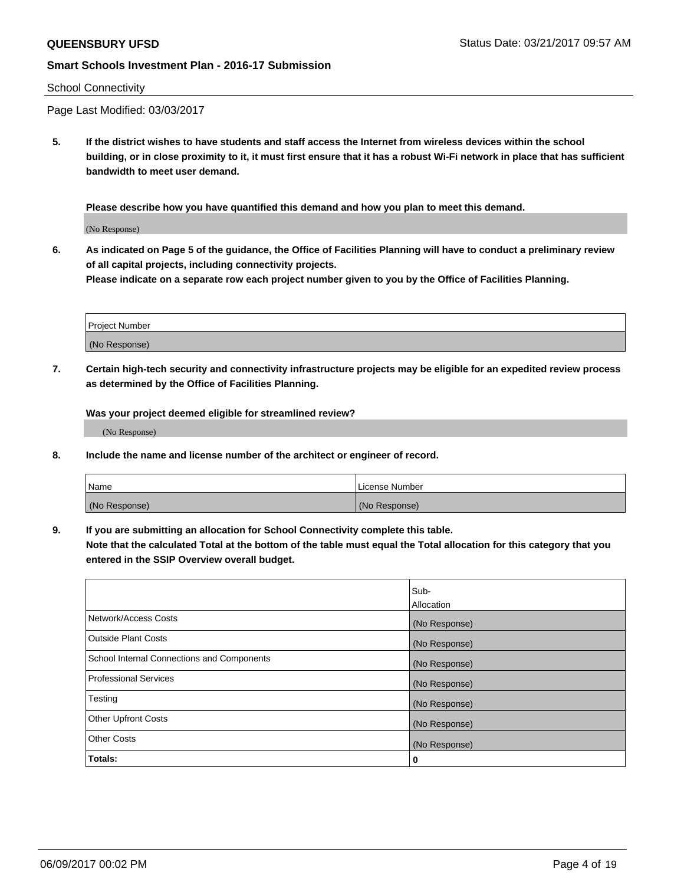#### School Connectivity

Page Last Modified: 03/03/2017

**5. If the district wishes to have students and staff access the Internet from wireless devices within the school building, or in close proximity to it, it must first ensure that it has a robust Wi-Fi network in place that has sufficient bandwidth to meet user demand.**

**Please describe how you have quantified this demand and how you plan to meet this demand.**

(No Response)

**6. As indicated on Page 5 of the guidance, the Office of Facilities Planning will have to conduct a preliminary review of all capital projects, including connectivity projects.**

**Please indicate on a separate row each project number given to you by the Office of Facilities Planning.**

| Project Number |  |
|----------------|--|
|                |  |
| (No Response)  |  |

**7. Certain high-tech security and connectivity infrastructure projects may be eligible for an expedited review process as determined by the Office of Facilities Planning.**

**Was your project deemed eligible for streamlined review?**

(No Response)

**8. Include the name and license number of the architect or engineer of record.**

| Name          | License Number |
|---------------|----------------|
| (No Response) | (No Response)  |

**9. If you are submitting an allocation for School Connectivity complete this table.**

**Note that the calculated Total at the bottom of the table must equal the Total allocation for this category that you entered in the SSIP Overview overall budget.** 

|                                            | Sub-              |
|--------------------------------------------|-------------------|
|                                            | <b>Allocation</b> |
| Network/Access Costs                       | (No Response)     |
| <b>Outside Plant Costs</b>                 | (No Response)     |
| School Internal Connections and Components | (No Response)     |
| Professional Services                      | (No Response)     |
| Testing                                    | (No Response)     |
| <b>Other Upfront Costs</b>                 | (No Response)     |
| <b>Other Costs</b>                         | (No Response)     |
| Totals:                                    | 0                 |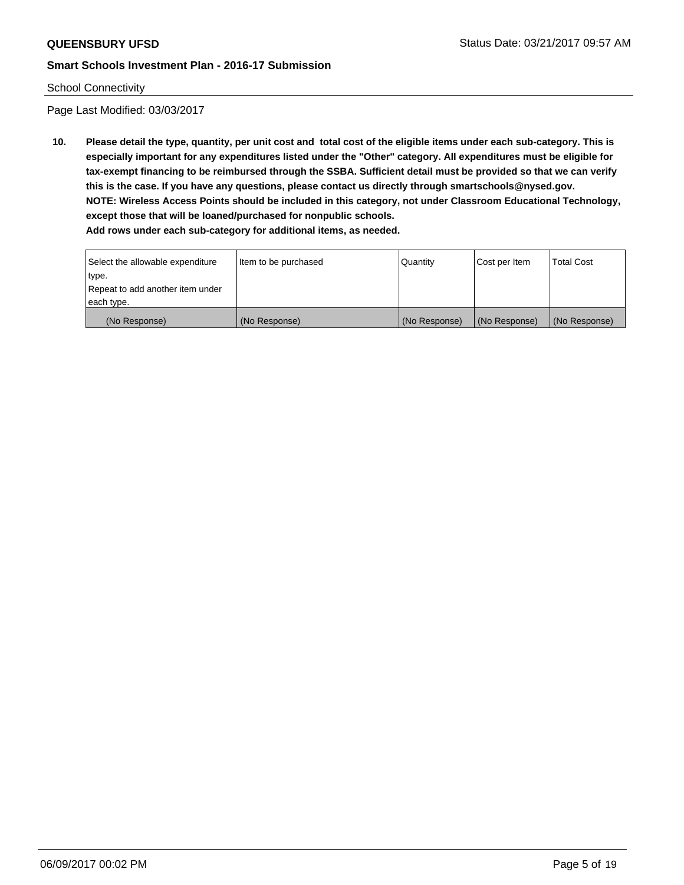## School Connectivity

Page Last Modified: 03/03/2017

**10. Please detail the type, quantity, per unit cost and total cost of the eligible items under each sub-category. This is especially important for any expenditures listed under the "Other" category. All expenditures must be eligible for tax-exempt financing to be reimbursed through the SSBA. Sufficient detail must be provided so that we can verify this is the case. If you have any questions, please contact us directly through smartschools@nysed.gov. NOTE: Wireless Access Points should be included in this category, not under Classroom Educational Technology, except those that will be loaned/purchased for nonpublic schools.**

| Select the allowable expenditure | Item to be purchased | Quantity      | Cost per Item | Total Cost    |
|----------------------------------|----------------------|---------------|---------------|---------------|
| type.                            |                      |               |               |               |
| Repeat to add another item under |                      |               |               |               |
| each type.                       |                      |               |               |               |
| (No Response)                    | (No Response)        | (No Response) | (No Response) | (No Response) |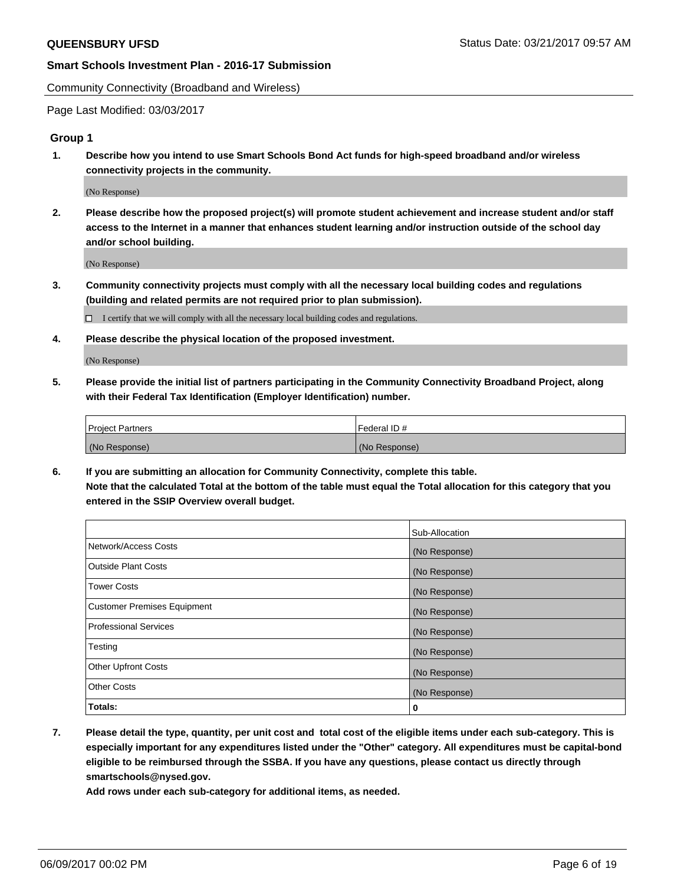Community Connectivity (Broadband and Wireless)

Page Last Modified: 03/03/2017

## **Group 1**

**1. Describe how you intend to use Smart Schools Bond Act funds for high-speed broadband and/or wireless connectivity projects in the community.**

(No Response)

**2. Please describe how the proposed project(s) will promote student achievement and increase student and/or staff access to the Internet in a manner that enhances student learning and/or instruction outside of the school day and/or school building.**

(No Response)

**3. Community connectivity projects must comply with all the necessary local building codes and regulations (building and related permits are not required prior to plan submission).**

 $\Box$  I certify that we will comply with all the necessary local building codes and regulations.

**4. Please describe the physical location of the proposed investment.**

(No Response)

**5. Please provide the initial list of partners participating in the Community Connectivity Broadband Project, along with their Federal Tax Identification (Employer Identification) number.**

| <b>Project Partners</b> | Federal ID#     |
|-------------------------|-----------------|
| (No Response)           | l (No Response) |

**6. If you are submitting an allocation for Community Connectivity, complete this table. Note that the calculated Total at the bottom of the table must equal the Total allocation for this category that you entered in the SSIP Overview overall budget.**

|                                    | Sub-Allocation |
|------------------------------------|----------------|
| Network/Access Costs               | (No Response)  |
| Outside Plant Costs                | (No Response)  |
| <b>Tower Costs</b>                 | (No Response)  |
| <b>Customer Premises Equipment</b> | (No Response)  |
| <b>Professional Services</b>       | (No Response)  |
| Testing                            | (No Response)  |
| <b>Other Upfront Costs</b>         | (No Response)  |
| <b>Other Costs</b>                 | (No Response)  |
| Totals:                            | 0              |

**7. Please detail the type, quantity, per unit cost and total cost of the eligible items under each sub-category. This is especially important for any expenditures listed under the "Other" category. All expenditures must be capital-bond eligible to be reimbursed through the SSBA. If you have any questions, please contact us directly through smartschools@nysed.gov.**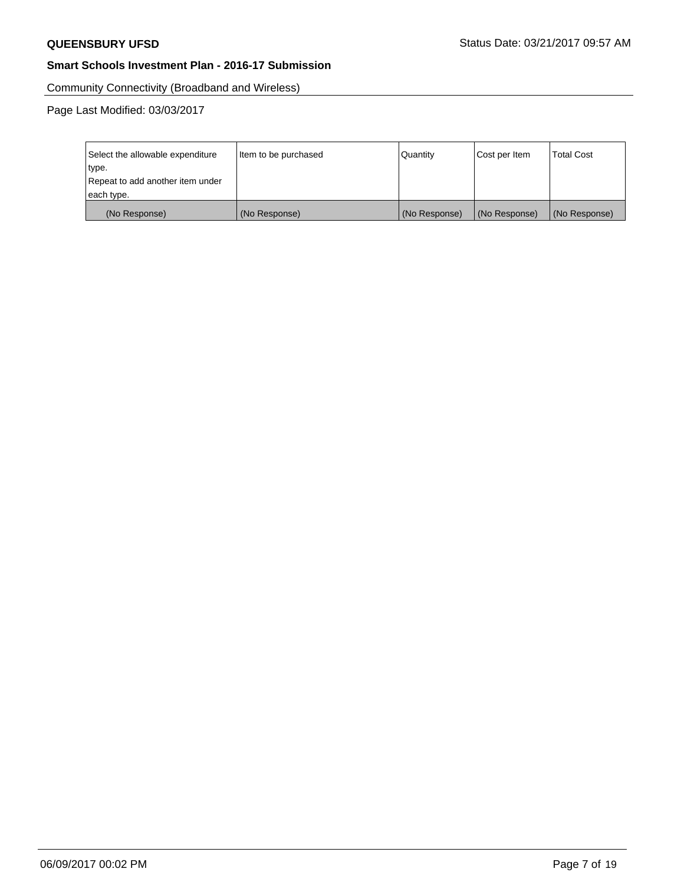Community Connectivity (Broadband and Wireless)

| Select the allowable expenditure<br>type.<br>Repeat to add another item under | Item to be purchased | Quantity      | Cost per Item | <b>Total Cost</b> |
|-------------------------------------------------------------------------------|----------------------|---------------|---------------|-------------------|
| each type.                                                                    |                      |               |               |                   |
| (No Response)                                                                 | (No Response)        | (No Response) | (No Response) | (No Response)     |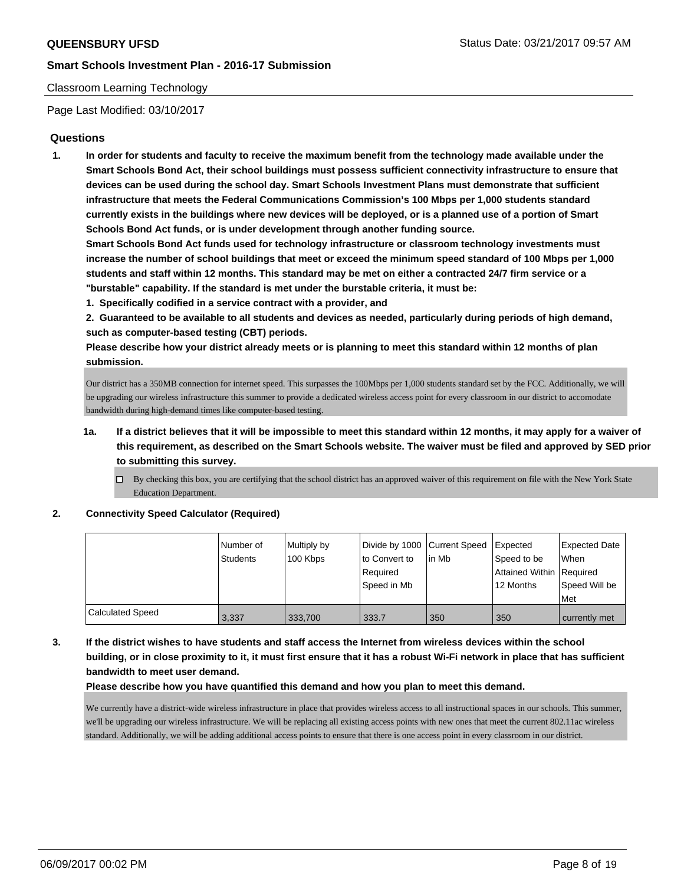#### Classroom Learning Technology

Page Last Modified: 03/10/2017

## **Questions**

**1. In order for students and faculty to receive the maximum benefit from the technology made available under the Smart Schools Bond Act, their school buildings must possess sufficient connectivity infrastructure to ensure that devices can be used during the school day. Smart Schools Investment Plans must demonstrate that sufficient infrastructure that meets the Federal Communications Commission's 100 Mbps per 1,000 students standard currently exists in the buildings where new devices will be deployed, or is a planned use of a portion of Smart Schools Bond Act funds, or is under development through another funding source.**

**Smart Schools Bond Act funds used for technology infrastructure or classroom technology investments must increase the number of school buildings that meet or exceed the minimum speed standard of 100 Mbps per 1,000 students and staff within 12 months. This standard may be met on either a contracted 24/7 firm service or a "burstable" capability. If the standard is met under the burstable criteria, it must be:**

- **1. Specifically codified in a service contract with a provider, and**
- **2. Guaranteed to be available to all students and devices as needed, particularly during periods of high demand, such as computer-based testing (CBT) periods.**

**Please describe how your district already meets or is planning to meet this standard within 12 months of plan submission.**

Our district has a 350MB connection for internet speed. This surpasses the 100Mbps per 1,000 students standard set by the FCC. Additionally, we will be upgrading our wireless infrastructure this summer to provide a dedicated wireless access point for every classroom in our district to accomodate bandwidth during high-demand times like computer-based testing.

- **1a. If a district believes that it will be impossible to meet this standard within 12 months, it may apply for a waiver of this requirement, as described on the Smart Schools website. The waiver must be filed and approved by SED prior to submitting this survey.**
	- $\Box$  By checking this box, you are certifying that the school district has an approved waiver of this requirement on file with the New York State Education Department.

**2. Connectivity Speed Calculator (Required)**

|                         | l Number of<br><b>Students</b> | Multiply by<br>100 Kbps | Divide by 1000 Current Speed<br>to Convert to<br>Required<br>Speed in Mb | lin Mb | Expected<br>Speed to be<br>Attained Within Required<br>12 Months | Expected Date<br><b>When</b><br>Speed Will be<br>Met |
|-------------------------|--------------------------------|-------------------------|--------------------------------------------------------------------------|--------|------------------------------------------------------------------|------------------------------------------------------|
| <b>Calculated Speed</b> | 3,337                          | 333,700                 | 333.7                                                                    | 350    | 350                                                              | currently met                                        |

**3. If the district wishes to have students and staff access the Internet from wireless devices within the school building, or in close proximity to it, it must first ensure that it has a robust Wi-Fi network in place that has sufficient bandwidth to meet user demand.**

**Please describe how you have quantified this demand and how you plan to meet this demand.**

We currently have a district-wide wireless infrastructure in place that provides wireless access to all instructional spaces in our schools. This summer, we'll be upgrading our wireless infrastructure. We will be replacing all existing access points with new ones that meet the current 802.11ac wireless standard. Additionally, we will be adding additional access points to ensure that there is one access point in every classroom in our district.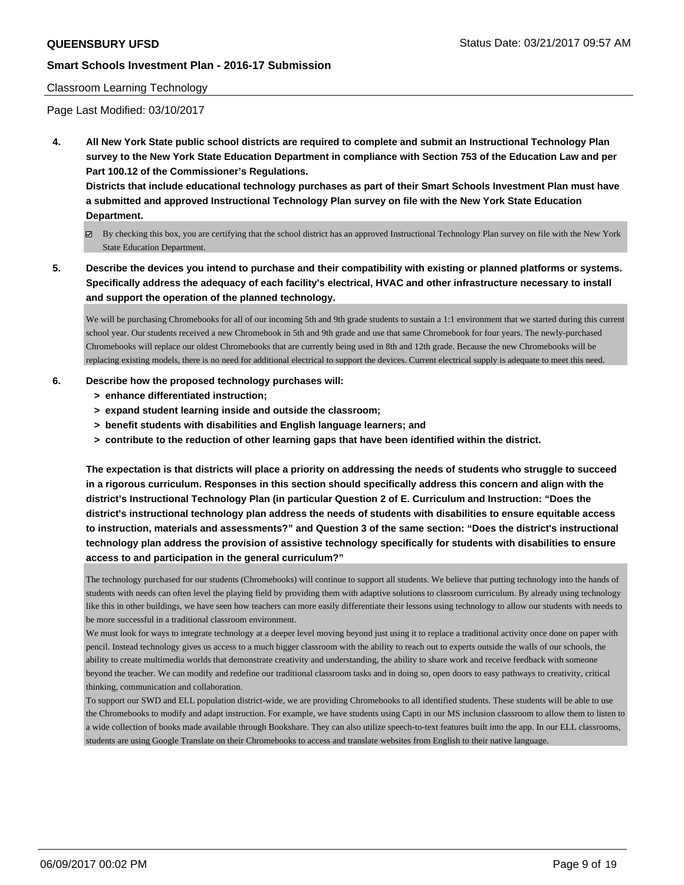#### Classroom Learning Technology

Page Last Modified: 03/10/2017

**4. All New York State public school districts are required to complete and submit an Instructional Technology Plan survey to the New York State Education Department in compliance with Section 753 of the Education Law and per Part 100.12 of the Commissioner's Regulations.**

**Districts that include educational technology purchases as part of their Smart Schools Investment Plan must have a submitted and approved Instructional Technology Plan survey on file with the New York State Education Department.**

- By checking this box, you are certifying that the school district has an approved Instructional Technology Plan survey on file with the New York State Education Department.
- **5. Describe the devices you intend to purchase and their compatibility with existing or planned platforms or systems. Specifically address the adequacy of each facility's electrical, HVAC and other infrastructure necessary to install and support the operation of the planned technology.**

We will be purchasing Chromebooks for all of our incoming 5th and 9th grade students to sustain a 1:1 environment that we started during this current school year. Our students received a new Chromebook in 5th and 9th grade and use that same Chromebook for four years. The newly-purchased Chromebooks will replace our oldest Chromebooks that are currently being used in 8th and 12th grade. Because the new Chromebooks will be replacing existing models, there is no need for additional electrical to support the devices. Current electrical supply is adequate to meet this need.

#### **6. Describe how the proposed technology purchases will:**

- **> enhance differentiated instruction;**
- **> expand student learning inside and outside the classroom;**
- **> benefit students with disabilities and English language learners; and**
- **> contribute to the reduction of other learning gaps that have been identified within the district.**

**The expectation is that districts will place a priority on addressing the needs of students who struggle to succeed in a rigorous curriculum. Responses in this section should specifically address this concern and align with the district's Instructional Technology Plan (in particular Question 2 of E. Curriculum and Instruction: "Does the district's instructional technology plan address the needs of students with disabilities to ensure equitable access to instruction, materials and assessments?" and Question 3 of the same section: "Does the district's instructional technology plan address the provision of assistive technology specifically for students with disabilities to ensure access to and participation in the general curriculum?"**

The technology purchased for our students (Chromebooks) will continue to support all students. We believe that putting technology into the hands of students with needs can often level the playing field by providing them with adaptive solutions to classroom curriculum. By already using technology like this in other buildings, we have seen how teachers can more easily differentiate their lessons using technology to allow our students with needs to be more successful in a traditional classroom environment.

We must look for ways to integrate technology at a deeper level moving beyond just using it to replace a traditional activity once done on paper with pencil. Instead technology gives us access to a much bigger classroom with the ability to reach out to experts outside the walls of our schools, the ability to create multimedia worlds that demonstrate creativity and understanding, the ability to share work and receive feedback with someone beyond the teacher. We can modify and redefine our traditional classroom tasks and in doing so, open doors to easy pathways to creativity, critical thinking, communication and collaboration.

To support our SWD and ELL population district-wide, we are providing Chromebooks to all identified students. These students will be able to use the Chromebooks to modify and adapt instruction. For example, we have students using Capti in our MS inclusion classroom to allow them to listen to a wide collection of books made available through Bookshare. They can also utilize speech-to-text features built into the app. In our ELL classrooms, students are using Google Translate on their Chromebooks to access and translate websites from English to their native language.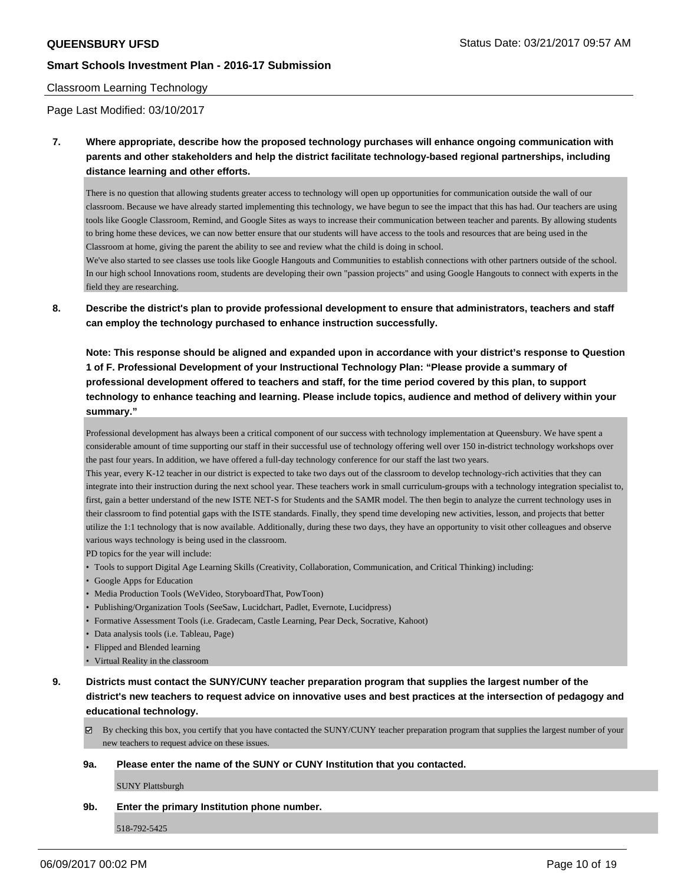#### Classroom Learning Technology

Page Last Modified: 03/10/2017

**7. Where appropriate, describe how the proposed technology purchases will enhance ongoing communication with parents and other stakeholders and help the district facilitate technology-based regional partnerships, including distance learning and other efforts.**

There is no question that allowing students greater access to technology will open up opportunities for communication outside the wall of our classroom. Because we have already started implementing this technology, we have begun to see the impact that this has had. Our teachers are using tools like Google Classroom, Remind, and Google Sites as ways to increase their communication between teacher and parents. By allowing students to bring home these devices, we can now better ensure that our students will have access to the tools and resources that are being used in the Classroom at home, giving the parent the ability to see and review what the child is doing in school.

We've also started to see classes use tools like Google Hangouts and Communities to establish connections with other partners outside of the school. In our high school Innovations room, students are developing their own "passion projects" and using Google Hangouts to connect with experts in the field they are researching.

**8. Describe the district's plan to provide professional development to ensure that administrators, teachers and staff can employ the technology purchased to enhance instruction successfully.**

**Note: This response should be aligned and expanded upon in accordance with your district's response to Question 1 of F. Professional Development of your Instructional Technology Plan: "Please provide a summary of professional development offered to teachers and staff, for the time period covered by this plan, to support technology to enhance teaching and learning. Please include topics, audience and method of delivery within your summary."**

Professional development has always been a critical component of our success with technology implementation at Queensbury. We have spent a considerable amount of time supporting our staff in their successful use of technology offering well over 150 in-district technology workshops over the past four years. In addition, we have offered a full-day technology conference for our staff the last two years.

This year, every K-12 teacher in our district is expected to take two days out of the classroom to develop technology-rich activities that they can integrate into their instruction during the next school year. These teachers work in small curriculum-groups with a technology integration specialist to, first, gain a better understand of the new ISTE NET-S for Students and the SAMR model. The then begin to analyze the current technology uses in their classroom to find potential gaps with the ISTE standards. Finally, they spend time developing new activities, lesson, and projects that better utilize the 1:1 technology that is now available. Additionally, during these two days, they have an opportunity to visit other colleagues and observe various ways technology is being used in the classroom.

- PD topics for the year will include:
- Tools to support Digital Age Learning Skills (Creativity, Collaboration, Communication, and Critical Thinking) including:
- Google Apps for Education
- Media Production Tools (WeVideo, StoryboardThat, PowToon)
- Publishing/Organization Tools (SeeSaw, Lucidchart, Padlet, Evernote, Lucidpress)
- Formative Assessment Tools (i.e. Gradecam, Castle Learning, Pear Deck, Socrative, Kahoot)
- Data analysis tools (i.e. Tableau, Page)
- Flipped and Blended learning
- Virtual Reality in the classroom
- **9. Districts must contact the SUNY/CUNY teacher preparation program that supplies the largest number of the district's new teachers to request advice on innovative uses and best practices at the intersection of pedagogy and educational technology.**

 $\boxtimes$  By checking this box, you certify that you have contacted the SUNY/CUNY teacher preparation program that supplies the largest number of your new teachers to request advice on these issues.

#### **9a. Please enter the name of the SUNY or CUNY Institution that you contacted.**

SUNY Plattsburgh

## **9b. Enter the primary Institution phone number.**

518-792-5425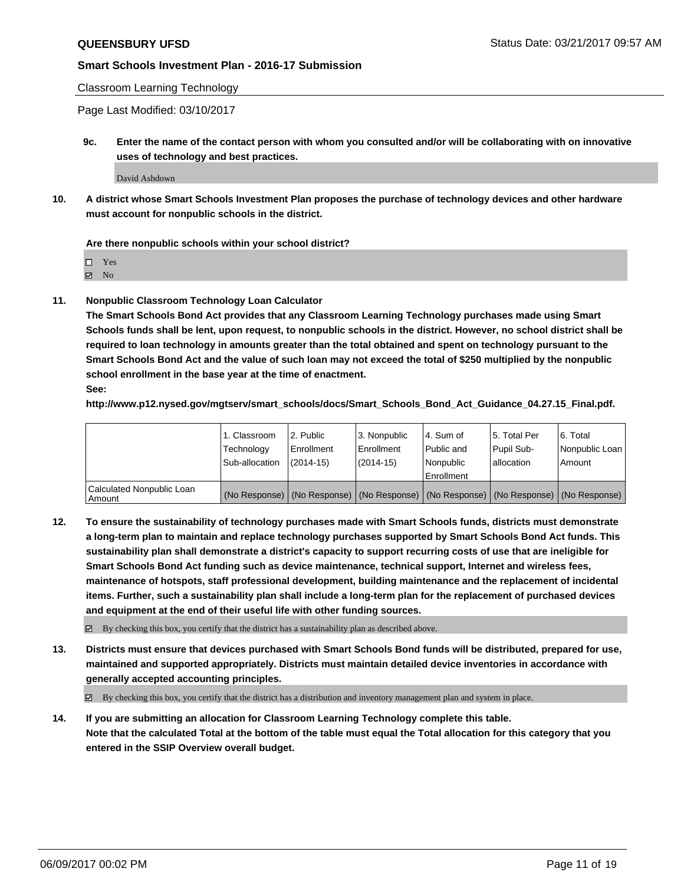Classroom Learning Technology

Page Last Modified: 03/10/2017

**9c. Enter the name of the contact person with whom you consulted and/or will be collaborating with on innovative uses of technology and best practices.**

David Ashdown

**10. A district whose Smart Schools Investment Plan proposes the purchase of technology devices and other hardware must account for nonpublic schools in the district.**

**Are there nonpublic schools within your school district?**

Yes

 $\boxtimes$  No

**11. Nonpublic Classroom Technology Loan Calculator**

**The Smart Schools Bond Act provides that any Classroom Learning Technology purchases made using Smart Schools funds shall be lent, upon request, to nonpublic schools in the district. However, no school district shall be required to loan technology in amounts greater than the total obtained and spent on technology pursuant to the Smart Schools Bond Act and the value of such loan may not exceed the total of \$250 multiplied by the nonpublic school enrollment in the base year at the time of enactment.**

**See:**

**http://www.p12.nysed.gov/mgtserv/smart\_schools/docs/Smart\_Schools\_Bond\_Act\_Guidance\_04.27.15\_Final.pdf.**

|                                       | 1. Classroom   | 2. Public  | 3. Nonpublic | l 4. Sum of | l 5. Total Per | l 6. Total                                                                                    |
|---------------------------------------|----------------|------------|--------------|-------------|----------------|-----------------------------------------------------------------------------------------------|
|                                       | Technology     | Enrollment | Enrollment   | Public and  | Pupil Sub-     | Nonpublic Loan                                                                                |
|                                       | Sub-allocation | (2014-15)  | (2014-15)    | l Nonpublic | allocation     | Amount                                                                                        |
|                                       |                |            |              | Enrollment  |                |                                                                                               |
| Calculated Nonpublic Loan<br>  Amount |                |            |              |             |                | (No Response)   (No Response)   (No Response)   (No Response)   (No Response)   (No Response) |

**12. To ensure the sustainability of technology purchases made with Smart Schools funds, districts must demonstrate a long-term plan to maintain and replace technology purchases supported by Smart Schools Bond Act funds. This sustainability plan shall demonstrate a district's capacity to support recurring costs of use that are ineligible for Smart Schools Bond Act funding such as device maintenance, technical support, Internet and wireless fees, maintenance of hotspots, staff professional development, building maintenance and the replacement of incidental items. Further, such a sustainability plan shall include a long-term plan for the replacement of purchased devices and equipment at the end of their useful life with other funding sources.**

 $\boxtimes$  By checking this box, you certify that the district has a sustainability plan as described above.

**13. Districts must ensure that devices purchased with Smart Schools Bond funds will be distributed, prepared for use, maintained and supported appropriately. Districts must maintain detailed device inventories in accordance with generally accepted accounting principles.**

By checking this box, you certify that the district has a distribution and inventory management plan and system in place.

**14. If you are submitting an allocation for Classroom Learning Technology complete this table. Note that the calculated Total at the bottom of the table must equal the Total allocation for this category that you entered in the SSIP Overview overall budget.**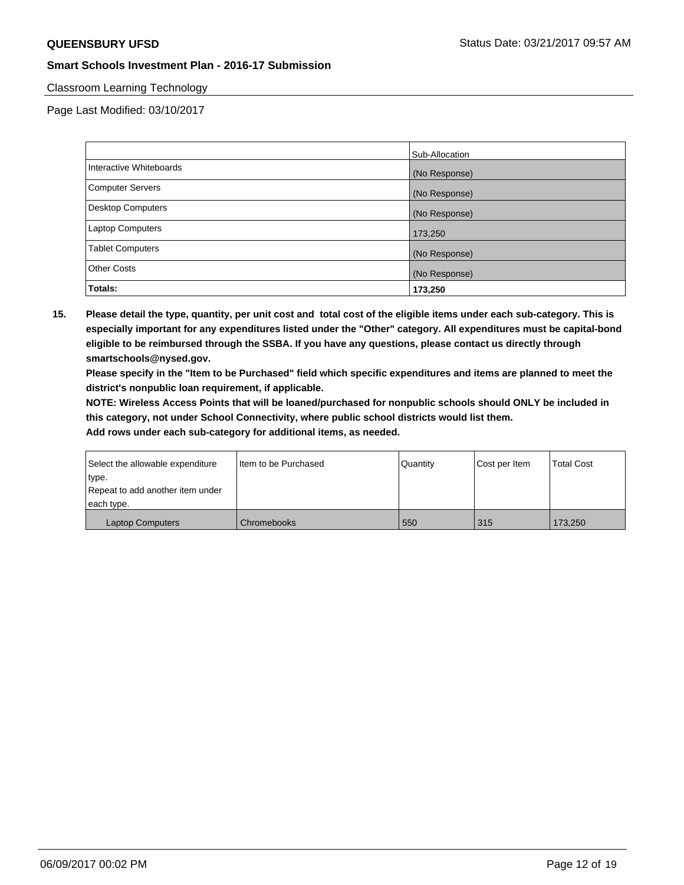#### Classroom Learning Technology

Page Last Modified: 03/10/2017

|                          | Sub-Allocation |
|--------------------------|----------------|
| Interactive Whiteboards  | (No Response)  |
| Computer Servers         | (No Response)  |
| <b>Desktop Computers</b> | (No Response)  |
| <b>Laptop Computers</b>  | 173,250        |
| <b>Tablet Computers</b>  | (No Response)  |
| <b>Other Costs</b>       | (No Response)  |
| Totals:                  | 173,250        |

**15. Please detail the type, quantity, per unit cost and total cost of the eligible items under each sub-category. This is especially important for any expenditures listed under the "Other" category. All expenditures must be capital-bond eligible to be reimbursed through the SSBA. If you have any questions, please contact us directly through smartschools@nysed.gov.**

**Please specify in the "Item to be Purchased" field which specific expenditures and items are planned to meet the district's nonpublic loan requirement, if applicable.**

**NOTE: Wireless Access Points that will be loaned/purchased for nonpublic schools should ONLY be included in this category, not under School Connectivity, where public school districts would list them.**

| Select the allowable expenditure | Item to be Purchased | <b>Quantity</b> | Cost per Item | Total Cost |
|----------------------------------|----------------------|-----------------|---------------|------------|
| type.                            |                      |                 |               |            |
| Repeat to add another item under |                      |                 |               |            |
| each type.                       |                      |                 |               |            |
| <b>Laptop Computers</b>          | Chromebooks          | 550             | 315           | 173,250    |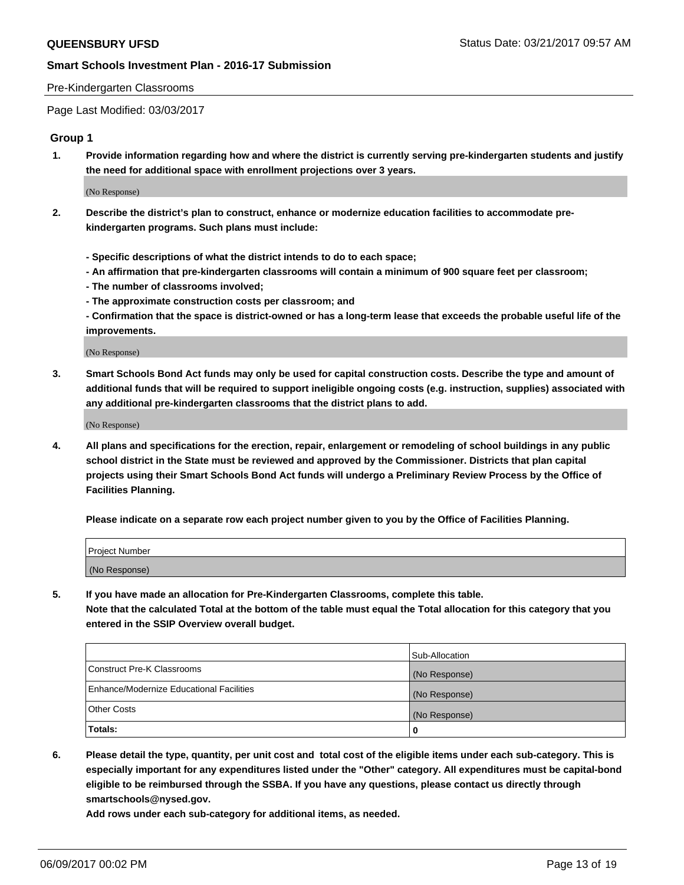#### Pre-Kindergarten Classrooms

Page Last Modified: 03/03/2017

#### **Group 1**

**1. Provide information regarding how and where the district is currently serving pre-kindergarten students and justify the need for additional space with enrollment projections over 3 years.**

(No Response)

- **2. Describe the district's plan to construct, enhance or modernize education facilities to accommodate prekindergarten programs. Such plans must include:**
	- **Specific descriptions of what the district intends to do to each space;**
	- **An affirmation that pre-kindergarten classrooms will contain a minimum of 900 square feet per classroom;**
	- **The number of classrooms involved;**
	- **The approximate construction costs per classroom; and**
	- **Confirmation that the space is district-owned or has a long-term lease that exceeds the probable useful life of the improvements.**

(No Response)

**3. Smart Schools Bond Act funds may only be used for capital construction costs. Describe the type and amount of additional funds that will be required to support ineligible ongoing costs (e.g. instruction, supplies) associated with any additional pre-kindergarten classrooms that the district plans to add.**

(No Response)

**4. All plans and specifications for the erection, repair, enlargement or remodeling of school buildings in any public school district in the State must be reviewed and approved by the Commissioner. Districts that plan capital projects using their Smart Schools Bond Act funds will undergo a Preliminary Review Process by the Office of Facilities Planning.**

**Please indicate on a separate row each project number given to you by the Office of Facilities Planning.**

| Project Number |  |
|----------------|--|
| (No Response)  |  |

**5. If you have made an allocation for Pre-Kindergarten Classrooms, complete this table. Note that the calculated Total at the bottom of the table must equal the Total allocation for this category that you entered in the SSIP Overview overall budget.**

| Totals:                                  | 0              |
|------------------------------------------|----------------|
| Other Costs                              | (No Response)  |
| Enhance/Modernize Educational Facilities | (No Response)  |
| Construct Pre-K Classrooms               | (No Response)  |
|                                          | Sub-Allocation |

**6. Please detail the type, quantity, per unit cost and total cost of the eligible items under each sub-category. This is especially important for any expenditures listed under the "Other" category. All expenditures must be capital-bond eligible to be reimbursed through the SSBA. If you have any questions, please contact us directly through smartschools@nysed.gov.**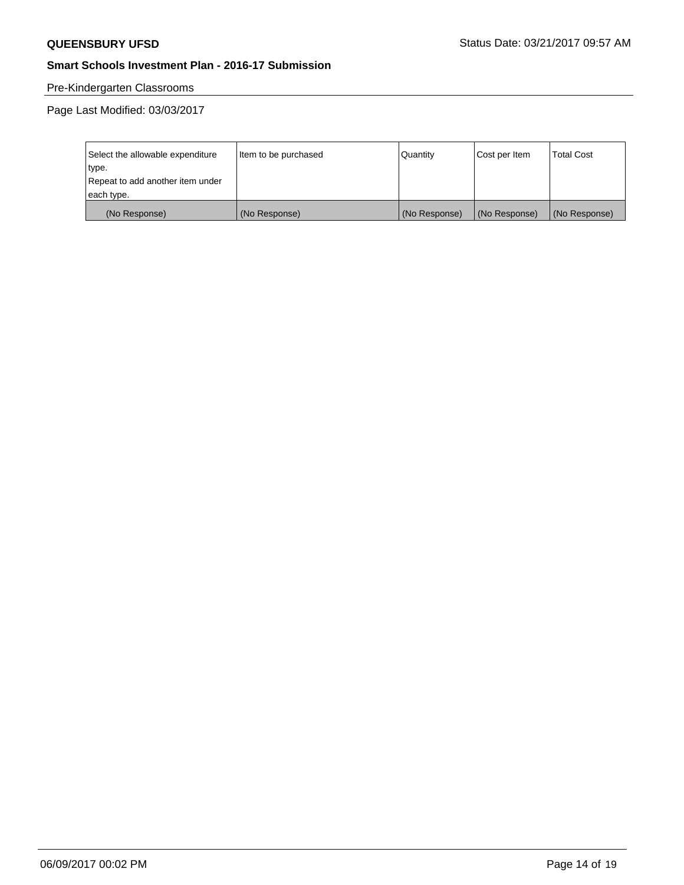# Pre-Kindergarten Classrooms

| Select the allowable expenditure | Item to be purchased | Quantity      | Cost per Item | <b>Total Cost</b> |
|----------------------------------|----------------------|---------------|---------------|-------------------|
| type.                            |                      |               |               |                   |
| Repeat to add another item under |                      |               |               |                   |
| each type.                       |                      |               |               |                   |
| (No Response)                    | (No Response)        | (No Response) | (No Response) | (No Response)     |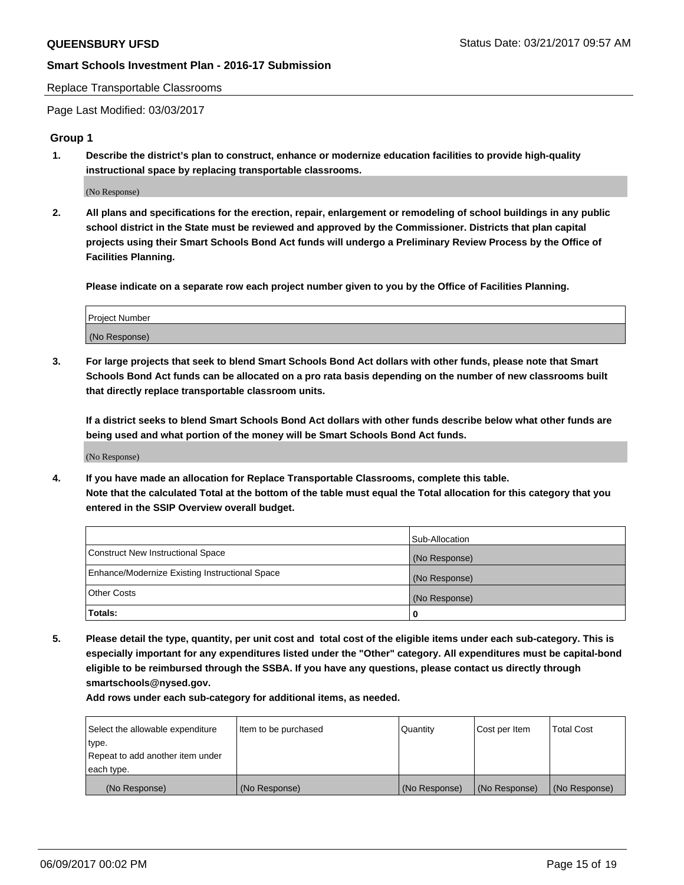Replace Transportable Classrooms

Page Last Modified: 03/03/2017

## **Group 1**

**1. Describe the district's plan to construct, enhance or modernize education facilities to provide high-quality instructional space by replacing transportable classrooms.**

(No Response)

**2. All plans and specifications for the erection, repair, enlargement or remodeling of school buildings in any public school district in the State must be reviewed and approved by the Commissioner. Districts that plan capital projects using their Smart Schools Bond Act funds will undergo a Preliminary Review Process by the Office of Facilities Planning.**

**Please indicate on a separate row each project number given to you by the Office of Facilities Planning.**

| Project Number |  |
|----------------|--|
| (No Response)  |  |

**3. For large projects that seek to blend Smart Schools Bond Act dollars with other funds, please note that Smart Schools Bond Act funds can be allocated on a pro rata basis depending on the number of new classrooms built that directly replace transportable classroom units.**

**If a district seeks to blend Smart Schools Bond Act dollars with other funds describe below what other funds are being used and what portion of the money will be Smart Schools Bond Act funds.**

(No Response)

**4. If you have made an allocation for Replace Transportable Classrooms, complete this table. Note that the calculated Total at the bottom of the table must equal the Total allocation for this category that you entered in the SSIP Overview overall budget.**

|                                                | Sub-Allocation |
|------------------------------------------------|----------------|
| Construct New Instructional Space              | (No Response)  |
| Enhance/Modernize Existing Instructional Space | (No Response)  |
| Other Costs                                    | (No Response)  |
| Totals:                                        | 0              |

**5. Please detail the type, quantity, per unit cost and total cost of the eligible items under each sub-category. This is especially important for any expenditures listed under the "Other" category. All expenditures must be capital-bond eligible to be reimbursed through the SSBA. If you have any questions, please contact us directly through smartschools@nysed.gov.**

| Select the allowable expenditure | Item to be purchased | Quantity      | Cost per Item | <b>Total Cost</b> |
|----------------------------------|----------------------|---------------|---------------|-------------------|
| type.                            |                      |               |               |                   |
| Repeat to add another item under |                      |               |               |                   |
| each type.                       |                      |               |               |                   |
| (No Response)                    | (No Response)        | (No Response) | (No Response) | (No Response)     |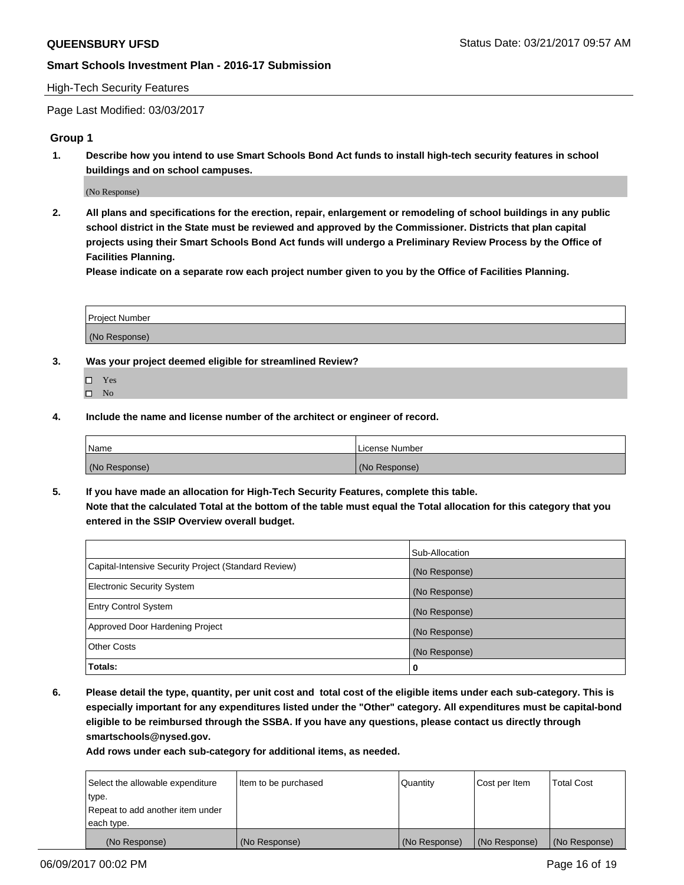#### High-Tech Security Features

Page Last Modified: 03/03/2017

#### **Group 1**

**1. Describe how you intend to use Smart Schools Bond Act funds to install high-tech security features in school buildings and on school campuses.**

(No Response)

**2. All plans and specifications for the erection, repair, enlargement or remodeling of school buildings in any public school district in the State must be reviewed and approved by the Commissioner. Districts that plan capital projects using their Smart Schools Bond Act funds will undergo a Preliminary Review Process by the Office of Facilities Planning.** 

**Please indicate on a separate row each project number given to you by the Office of Facilities Planning.**

| Project Number |  |
|----------------|--|
|                |  |
|                |  |
|                |  |
| (No Response)  |  |
|                |  |

- **3. Was your project deemed eligible for streamlined Review?**
	- Yes  $\hfill \square$  No
- **4. Include the name and license number of the architect or engineer of record.**

| <b>Name</b>   | License Number |
|---------------|----------------|
| (No Response) | (No Response)  |

**5. If you have made an allocation for High-Tech Security Features, complete this table. Note that the calculated Total at the bottom of the table must equal the Total allocation for this category that you entered in the SSIP Overview overall budget.**

|                                                      | Sub-Allocation |
|------------------------------------------------------|----------------|
| Capital-Intensive Security Project (Standard Review) | (No Response)  |
| Electronic Security System                           | (No Response)  |
| <b>Entry Control System</b>                          | (No Response)  |
| Approved Door Hardening Project                      | (No Response)  |
| <b>Other Costs</b>                                   | (No Response)  |
| Totals:                                              | 0              |

**6. Please detail the type, quantity, per unit cost and total cost of the eligible items under each sub-category. This is especially important for any expenditures listed under the "Other" category. All expenditures must be capital-bond eligible to be reimbursed through the SSBA. If you have any questions, please contact us directly through smartschools@nysed.gov.**

| (No Response)                    | (No Response)        | (No Response) | (No Response) | (No Response)     |
|----------------------------------|----------------------|---------------|---------------|-------------------|
| each type.                       |                      |               |               |                   |
| Repeat to add another item under |                      |               |               |                   |
| type.                            |                      |               |               |                   |
| Select the allowable expenditure | Item to be purchased | Quantity      | Cost per Item | <b>Total Cost</b> |
|                                  |                      |               |               |                   |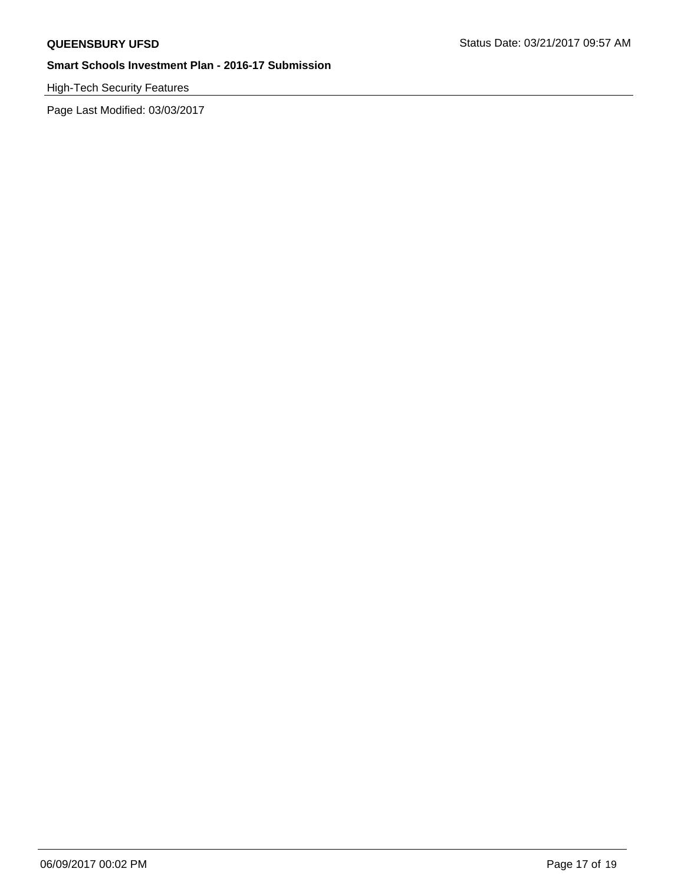# High-Tech Security Features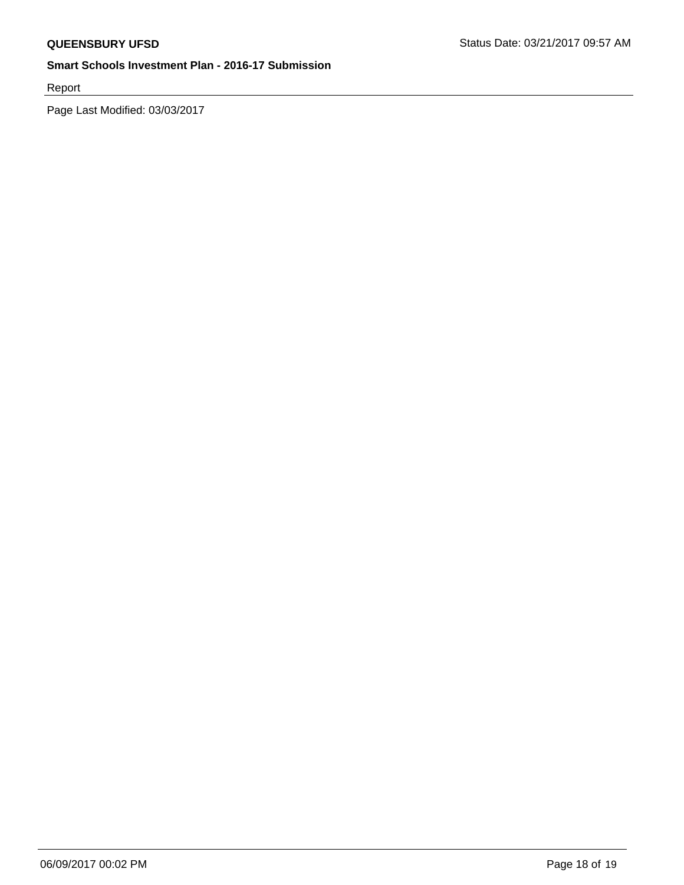Report